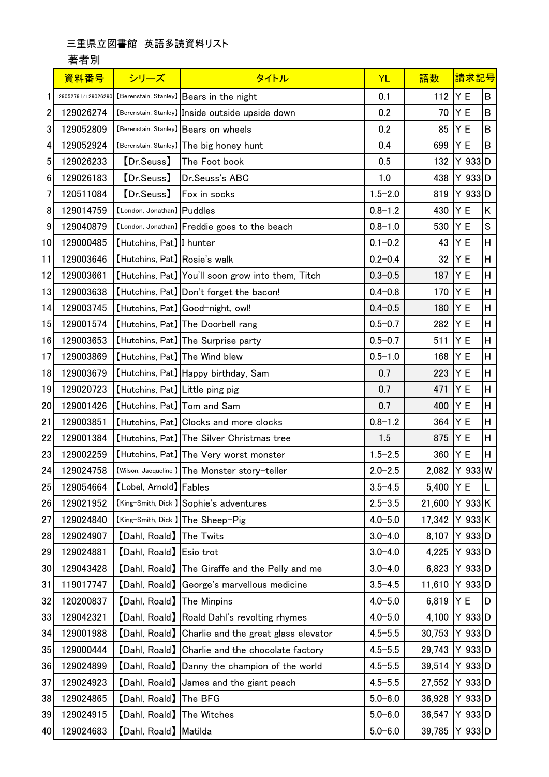## 三重県立図書館 英語多読資料リスト

## 著者別

|    | 資料番号      | シリーズ                            | タイトル                                                         | <b>YL</b>   | 語数     | 請求記号      |   |
|----|-----------|---------------------------------|--------------------------------------------------------------|-------------|--------|-----------|---|
|    |           |                                 | 129052791/129026290 [Berenstain, Stanley] Bears in the night | 0.1         | 112    | Y E       | B |
| 2  | 129026274 |                                 | [Berenstain, Stanley] Inside outside upside down             | 0.2         | 70     | Y E       | B |
| 3  | 129052809 |                                 | [Berenstain, Stanley] Bears on wheels                        | 0.2         | 85     | Y E       | B |
| 4  | 129052924 |                                 | [Berenstain, Stanley] The big honey hunt                     | 0.4         | 699    | Y E       | B |
| 5  | 129026233 | [Dr.Seuss]                      | The Foot book                                                | 0.5         | 132    | $Y$ 933 D |   |
| 6  | 129026183 | [Dr.Seuss]                      | Dr.Seuss's ABC                                               | 1.0         | 438    | $Y$ 933 D |   |
| 7  | 120511084 | [Dr.Seuss]                      | Fox in socks                                                 | $1.5 - 2.0$ | 819    | $Y$ 933 D |   |
| 8  | 129014759 | [London, Jonathan] Puddles      |                                                              | $0.8 - 1.2$ | 430    | Y E       | Κ |
| 9  | 129040879 |                                 | [London, Jonathan] Freddie goes to the beach                 | $0.8 - 1.0$ | 530    | Y E       | S |
| 10 | 129000485 | [Hutchins, Pat] I hunter        |                                                              | $0.1 - 0.2$ | 43     | Y E       | Η |
| 11 | 129003646 | [Hutchins, Pat] Rosie's walk    |                                                              | $0.2 - 0.4$ | 32     | Y E       | Η |
| 12 | 129003661 |                                 | [Hutchins, Pat] You'll soon grow into them, Titch            | $0.3 - 0.5$ | 187    | Y E       | Η |
| 13 | 129003638 |                                 | [Hutchins, Pat] Don't forget the bacon!                      | $0.4 - 0.8$ | 170    | Y E       | Η |
| 14 | 129003745 |                                 | [Hutchins, Pat] Good-night, owl!                             | $0.4 - 0.5$ | 180    | Y E       | Η |
| 15 | 129001574 |                                 | [Hutchins, Pat] The Doorbell rang                            | $0.5 - 0.7$ | 282    | Y E       | Η |
| 16 | 129003653 |                                 | [Hutchins, Pat] The Surprise party                           | $0.5 - 0.7$ | 511    | Y E       | Η |
| 17 | 129003869 | [Hutchins, Pat] The Wind blew   |                                                              | $0.5 - 1.0$ | 168    | Y E       | Η |
| 18 | 129003679 |                                 | [Hutchins, Pat] Happy birthday, Sam                          | 0.7         | 223    | Y E       | H |
| 19 | 129020723 | [Hutchins, Pat] Little ping pig |                                                              | 0.7         | 471    | Y E       | H |
| 20 | 129001426 | [Hutchins, Pat] Tom and Sam     |                                                              | 0.7         | 400    | Y E       | Η |
| 21 | 129003851 |                                 | [Hutchins, Pat] Clocks and more clocks                       | $0.8 - 1.2$ | 364    | Y E       | H |
| 22 | 129001384 |                                 | [Hutchins, Pat] The Silver Christmas tree                    | 1.5         | 875    | Y E       | Η |
| 23 | 129002259 |                                 | [Hutchins, Pat] The Very worst monster                       | $1.5 - 2.5$ | 360    | Y E       | H |
| 24 | 129024758 |                                 | [Wilson, Jacqueline ] The Monster story-teller               | $2.0 - 2.5$ | 2,082  | $Y$ 933 W |   |
| 25 | 129054664 | [Lobel, Arnold] Fables          |                                                              | $3.5 - 4.5$ | 5,400  | IY E      | L |
| 26 | 129021952 |                                 | [King-Smith, Dick ] Sophie's adventures                      | $2.5 - 3.5$ | 21,600 | Y 933 K   |   |
| 27 | 129024840 |                                 | [King-Smith, Dick ] The Sheep-Pig                            | $4.0 - 5.0$ | 17,342 | Y 933K    |   |
| 28 | 129024907 | [Dahl, Roald]                   | The Twits                                                    | $3.0 - 4.0$ | 8,107  | $Y$ 933 D |   |
| 29 | 129024881 | [Dahl, Roald] Esio trot         |                                                              | $3.0 - 4.0$ | 4,225  | $Y$ 933 D |   |
| 30 | 129043428 | [Dahl, Roald]                   | The Giraffe and the Pelly and me                             | $3.0 - 4.0$ | 6,823  | $Y$ 933 D |   |
| 31 | 119017747 | [Dahl, Roald]                   | George's marvellous medicine                                 | $3.5 - 4.5$ | 11,610 | $Y$ 933 D |   |
| 32 | 120200837 | [Dahl, Roald]                   | The Minpins                                                  | $4.0 - 5.0$ | 6,819  | Y E       | D |
| 33 | 129042321 | [Dahl, Roald]                   | Roald Dahl's revolting rhymes                                | $4.0 - 5.0$ | 4,100  | Y 933D    |   |
| 34 | 129001988 | [Dahl, Roald]                   | Charlie and the great glass elevator                         | $4.5 - 5.5$ | 30,753 | $Y$ 933 D |   |
| 35 | 129000444 | [Dahl, Roald]                   | Charlie and the chocolate factory                            | $4.5 - 5.5$ | 29,743 | Y 933D    |   |
| 36 | 129024899 | [Dahl, Roald]                   | Danny the champion of the world                              | $4.5 - 5.5$ | 39,514 | Y 933 D   |   |
| 37 | 129024923 | [Dahl, Roald]                   | James and the giant peach                                    | $4.5 - 5.5$ | 27,552 | $Y$ 933 D |   |
| 38 | 129024865 | [Dahl, Roald]                   | The BFG                                                      | $5.0 - 6.0$ | 36,928 | $Y$ 933 D |   |
| 39 | 129024915 | [Dahl, Roald]                   | The Witches                                                  | $5.0 - 6.0$ | 36,547 | $Y$ 933 D |   |
| 40 | 129024683 | [Dahl, Roald] Matilda           |                                                              | $5.0 - 6.0$ | 39,785 | Y 933 D   |   |